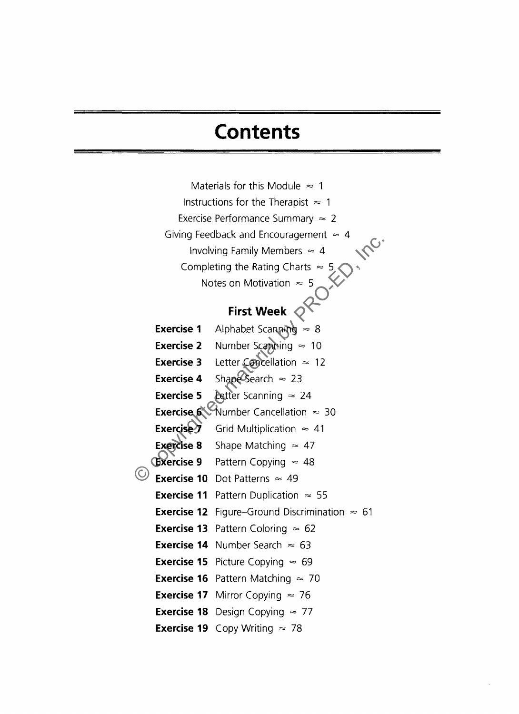## **Contents**